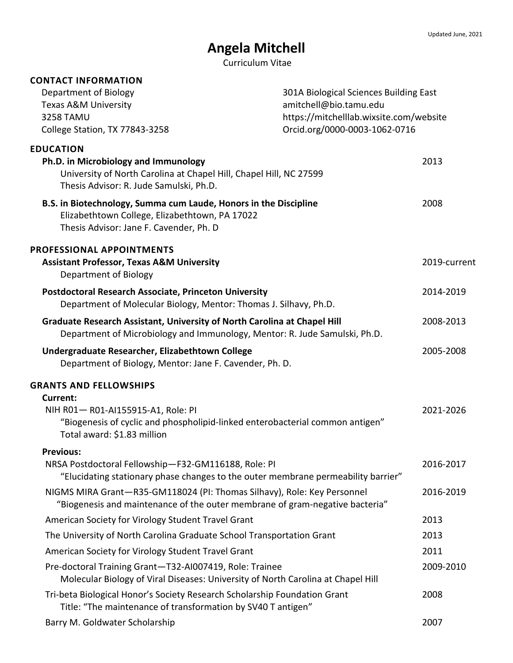# **Angela Mitchell**

Curriculum Vitae

| <b>CONTACT INFORMATION</b>                                                                                                                                    |                               |                                                                                                             |  |
|---------------------------------------------------------------------------------------------------------------------------------------------------------------|-------------------------------|-------------------------------------------------------------------------------------------------------------|--|
| Department of Biology                                                                                                                                         |                               | 301A Biological Sciences Building East<br>amitchell@bio.tamu.edu<br>https://mitchelllab.wixsite.com/website |  |
| Texas A&M University                                                                                                                                          |                               |                                                                                                             |  |
| <b>3258 TAMU</b>                                                                                                                                              |                               |                                                                                                             |  |
| College Station, TX 77843-3258                                                                                                                                | Orcid.org/0000-0003-1062-0716 |                                                                                                             |  |
| <b>EDUCATION</b>                                                                                                                                              |                               |                                                                                                             |  |
| Ph.D. in Microbiology and Immunology<br>University of North Carolina at Chapel Hill, Chapel Hill, NC 27599<br>Thesis Advisor: R. Jude Samulski, Ph.D.         |                               | 2013                                                                                                        |  |
| B.S. in Biotechnology, Summa cum Laude, Honors in the Discipline<br>Elizabethtown College, Elizabethtown, PA 17022<br>Thesis Advisor: Jane F. Cavender, Ph. D |                               | 2008                                                                                                        |  |
| <b>PROFESSIONAL APPOINTMENTS</b><br><b>Assistant Professor, Texas A&amp;M University</b><br>Department of Biology                                             |                               | 2019-current                                                                                                |  |
| <b>Postdoctoral Research Associate, Princeton University</b><br>Department of Molecular Biology, Mentor: Thomas J. Silhavy, Ph.D.                             |                               | 2014-2019                                                                                                   |  |
| Graduate Research Assistant, University of North Carolina at Chapel Hill<br>Department of Microbiology and Immunology, Mentor: R. Jude Samulski, Ph.D.        |                               | 2008-2013                                                                                                   |  |
| Undergraduate Researcher, Elizabethtown College<br>Department of Biology, Mentor: Jane F. Cavender, Ph. D.                                                    |                               | 2005-2008                                                                                                   |  |
| <b>GRANTS AND FELLOWSHIPS</b>                                                                                                                                 |                               |                                                                                                             |  |
| <b>Current:</b>                                                                                                                                               |                               |                                                                                                             |  |
| NIH R01-R01-AI155915-A1, Role: PI<br>"Biogenesis of cyclic and phospholipid-linked enterobacterial common antigen"<br>Total award: \$1.83 million             |                               | 2021-2026                                                                                                   |  |
| <b>Previous:</b>                                                                                                                                              |                               |                                                                                                             |  |
| NRSA Postdoctoral Fellowship-F32-GM116188, Role: PI<br>"Elucidating stationary phase changes to the outer membrane permeability barrier"                      |                               | 2016-2017                                                                                                   |  |
| NIGMS MIRA Grant-R35-GM118024 (PI: Thomas Silhavy), Role: Key Personnel<br>"Biogenesis and maintenance of the outer membrane of gram-negative bacteria"       |                               | 2016-2019                                                                                                   |  |
| American Society for Virology Student Travel Grant                                                                                                            |                               | 2013                                                                                                        |  |
| The University of North Carolina Graduate School Transportation Grant                                                                                         |                               | 2013                                                                                                        |  |
| American Society for Virology Student Travel Grant                                                                                                            |                               | 2011                                                                                                        |  |
| Pre-doctoral Training Grant-T32-AI007419, Role: Trainee<br>Molecular Biology of Viral Diseases: University of North Carolina at Chapel Hill                   |                               | 2009-2010                                                                                                   |  |
| Tri-beta Biological Honor's Society Research Scholarship Foundation Grant<br>Title: "The maintenance of transformation by SV40 T antigen"                     |                               | 2008                                                                                                        |  |
| Barry M. Goldwater Scholarship                                                                                                                                |                               | 2007                                                                                                        |  |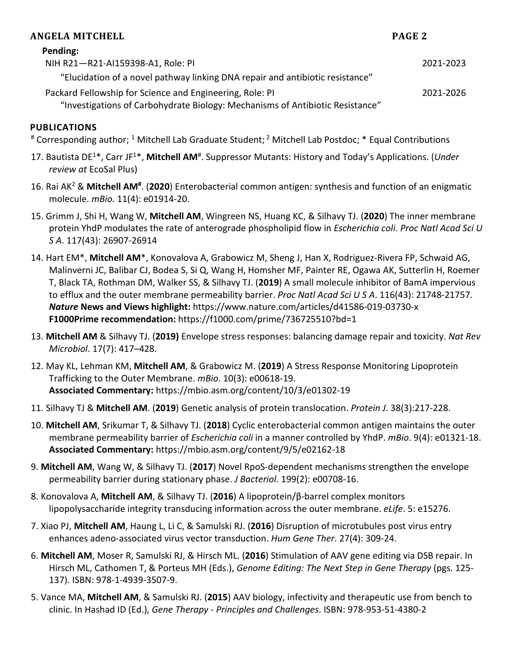| ANGELA MITCHELL                                                                                                                           | PAGE 2    |
|-------------------------------------------------------------------------------------------------------------------------------------------|-----------|
| Pending:                                                                                                                                  |           |
| NIH R21-R21-AI159398-A1, Role: PI                                                                                                         | 2021-2023 |
| "Elucidation of a novel pathway linking DNA repair and antibiotic resistance"                                                             |           |
| Packard Fellowship for Science and Engineering, Role: PI<br>"Investigations of Carbohydrate Biology: Mechanisms of Antibiotic Resistance" | 2021-2026 |

# **PUBLICATIONS**

# Corresponding author; <sup>1</sup> Mitchell Lab Graduate Student; <sup>2</sup> Mitchell Lab Postdoc; \* Equal Contributions

- 17. Bautista DE<sup>1\*</sup>, Carr JF<sup>1\*</sup>, Mitchell AM<sup>#</sup>. Suppressor Mutants: History and Today's Applications. (Under *review at* EcoSal Plus)
- 16. Rai AK2 & **Mitchell AM#**. (**2020**) Enterobacterial common antigen: synthesis and function of an enigmatic molecule. *mBio*. 11(4): e01914-20.
- 15. Grimm J, Shi H, Wang W, **Mitchell AM**, Wingreen NS, Huang KC, & Silhavy TJ. (**2020**) The inner membrane protein YhdP modulates the rate of anterograde phospholipid flow in *Escherichia coli*. *Proc Natl Acad Sci U S A*. 117(43): 26907-26914
- 14. Hart EM\*, **Mitchell AM**\*, Konovalova A, Grabowicz M, Sheng J, Han X, Rodriguez-Rivera FP, Schwaid AG, Malinverni JC, Balibar CJ, Bodea S, Si Q, Wang H, Homsher MF, Painter RE, Ogawa AK, Sutterlin H, Roemer T, Black TA, Rothman DM, Walker SS, & Silhavy TJ. (**2019**) A small molecule inhibitor of BamA impervious to efflux and the outer membrane permeability barrier. *Proc Natl Acad Sci U S A*. 116(43): 21748-21757. *Nature* **News and Views highlight:** https://www.nature.com/articles/d41586-019-03730-x **F1000Prime recommendation:** https://f1000.com/prime/736725510?bd=1
- 13. **Mitchell AM** & Silhavy TJ. (**2019)** Envelope stress responses: balancing damage repair and toxicity. *Nat Rev Microbiol*. 17(7): 417–428.
- 12. May KL, Lehman KM, **Mitchell AM**, & Grabowicz M. (**2019**) A Stress Response Monitoring Lipoprotein Trafficking to the Outer Membrane. *mBio*. 10(3): e00618-19. **Associated Commentary:** https://mbio.asm.org/content/10/3/e01302-19
- 11. Silhavy TJ & **Mitchell AM**. (**2019**) Genetic analysis of protein translocation. *Protein J*. 38(3):217-228.
- 10. **Mitchell AM**, Srikumar T, & Silhavy TJ. (**2018**) Cyclic enterobacterial common antigen maintains the outer membrane permeability barrier of *Escherichia coli* in a manner controlled by YhdP. *mBio*. 9(4): e01321-18. **Associated Commentary:** https://mbio.asm.org/content/9/5/e02162-18
- 9. **Mitchell AM**, Wang W, & Silhavy TJ. (**2017**) Novel RpoS-dependent mechanisms strengthen the envelope permeability barrier during stationary phase. *J Bacteriol.* 199(2): e00708-16.
- 8. Konovalova A, **Mitchell AM**, & Silhavy TJ. (**2016**) A lipoprotein/β-barrel complex monitors lipopolysaccharide integrity transducing information across the outer membrane. *eLife*. 5: e15276.
- 7. Xiao PJ, **Mitchell AM**, Haung L, Li C, & Samulski RJ. (**2016**) Disruption of microtubules post virus entry enhances adeno-associated virus vector transduction. *Hum Gene Ther*. 27(4): 309-24.
- 6. **Mitchell AM**, Moser R, Samulski RJ, & Hirsch ML. (**2016**) Stimulation of AAV gene editing via DSB repair. In Hirsch ML, Cathomen T, & Porteus MH (Eds.), *Genome Editing: The Next Step in Gene Therapy* (pgs. 125- 137). ISBN: 978-1-4939-3507-9.
- 5. Vance MA, **Mitchell AM**, & Samulski RJ. (**2015**) AAV biology, infectivity and therapeutic use from bench to clinic. In Hashad ID (Ed.), *Gene Therapy - Principles and Challenges*. ISBN: 978-953-51-4380-2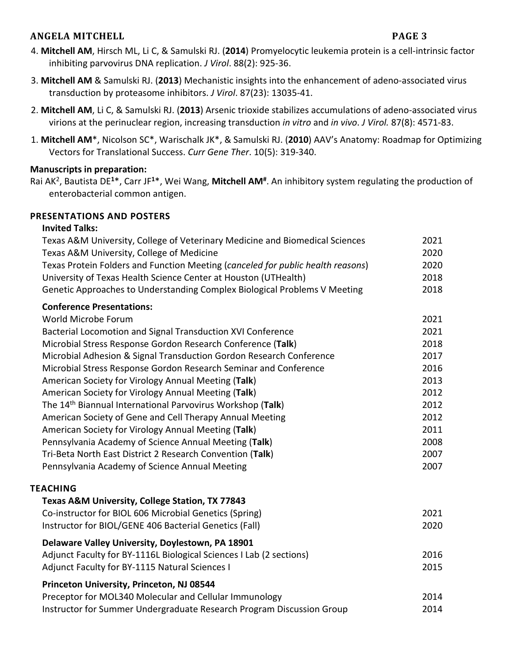### **ANGELA MITCHELL PAGE 3**

- 4. **Mitchell AM**, Hirsch ML, Li C, & Samulski RJ. (**2014**) Promyelocytic leukemia protein is a cell-intrinsic factor inhibiting parvovirus DNA replication. *J Virol*. 88(2): 925-36.
- 3. **Mitchell AM** & Samulski RJ. (**2013**) Mechanistic insights into the enhancement of adeno-associated virus transduction by proteasome inhibitors. *J Virol*. 87(23): 13035-41.
- 2. **Mitchell AM**, Li C, & Samulski RJ. (**2013**) Arsenic trioxide stabilizes accumulations of adeno-associated virus virions at the perinuclear region, increasing transduction *in vitro* and *in vivo*. *J Virol.* 87(8): 4571-83.
- 1. **Mitchell AM**\*, Nicolson SC\*, Warischalk JK\*, & Samulski RJ. (**2010**) AAV's Anatomy: Roadmap for Optimizing Vectors for Translational Success. *Curr Gene Ther*. 10(5): 319-340.

# **Manuscripts in preparation:**

Rai AK2, Bautista DE**<sup>1</sup>**\*, Carr JF**<sup>1</sup>**\*, Wei Wang, **Mitchell AM#** . An inhibitory system regulating the production of enterobacterial common antigen.

## **PRESENTATIONS AND POSTERS**

#### **Invited Talks:**

| Texas A&M University, College of Veterinary Medicine and Biomedical Sciences<br>Texas A&M University, College of Medicine                          | 2021<br>2020 |
|----------------------------------------------------------------------------------------------------------------------------------------------------|--------------|
| Texas Protein Folders and Function Meeting (canceled for public health reasons)<br>University of Texas Health Science Center at Houston (UTHealth) | 2020<br>2018 |
| Genetic Approaches to Understanding Complex Biological Problems V Meeting                                                                          | 2018         |
| <b>Conference Presentations:</b>                                                                                                                   |              |
| World Microbe Forum                                                                                                                                | 2021         |
| Bacterial Locomotion and Signal Transduction XVI Conference                                                                                        | 2021         |
| Microbial Stress Response Gordon Research Conference (Talk)                                                                                        | 2018         |
| Microbial Adhesion & Signal Transduction Gordon Research Conference                                                                                | 2017         |
| Microbial Stress Response Gordon Research Seminar and Conference                                                                                   | 2016         |
| American Society for Virology Annual Meeting (Talk)                                                                                                | 2013         |
| American Society for Virology Annual Meeting (Talk)                                                                                                | 2012         |
| The 14 <sup>th</sup> Biannual International Parvovirus Workshop (Talk)                                                                             | 2012         |
| American Society of Gene and Cell Therapy Annual Meeting                                                                                           | 2012         |
| American Society for Virology Annual Meeting (Talk)                                                                                                | 2011         |
| Pennsylvania Academy of Science Annual Meeting (Talk)                                                                                              | 2008         |
| Tri-Beta North East District 2 Research Convention (Talk)                                                                                          | 2007         |
| Pennsylvania Academy of Science Annual Meeting                                                                                                     | 2007         |
| <b>TEACHING</b>                                                                                                                                    |              |
| Texas A&M University, College Station, TX 77843                                                                                                    |              |
| Co-instructor for BIOL 606 Microbial Genetics (Spring)                                                                                             | 2021         |
| Instructor for BIOL/GENE 406 Bacterial Genetics (Fall)                                                                                             | 2020         |
| Delaware Valley University, Doylestown, PA 18901                                                                                                   |              |
| Adjunct Faculty for BY-1116L Biological Sciences I Lab (2 sections)                                                                                | 2016         |
| Adjunct Faculty for BY-1115 Natural Sciences I                                                                                                     | 2015         |
| Princeton University, Princeton, NJ 08544                                                                                                          |              |
| Preceptor for MOL340 Molecular and Cellular Immunology                                                                                             | 2014         |
| Instructor for Summer Undergraduate Research Program Discussion Group                                                                              | 2014         |
|                                                                                                                                                    |              |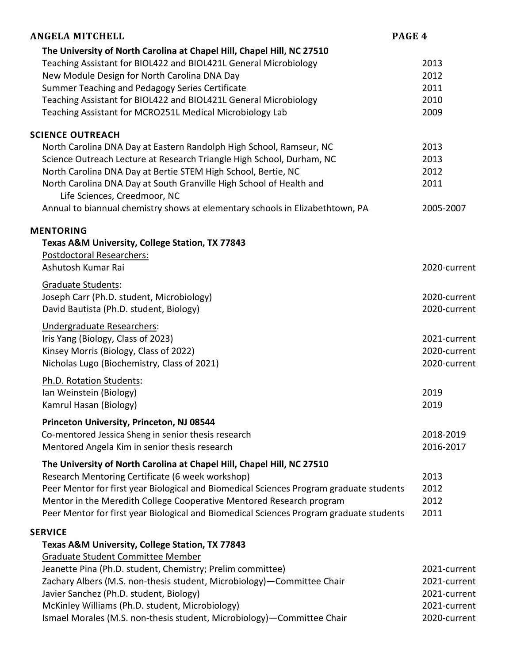| <b>ANGELA MITCHELL</b>                                                                  | PAGE 4       |
|-----------------------------------------------------------------------------------------|--------------|
| The University of North Carolina at Chapel Hill, Chapel Hill, NC 27510                  |              |
| Teaching Assistant for BIOL422 and BIOL421L General Microbiology                        | 2013         |
| New Module Design for North Carolina DNA Day                                            | 2012         |
| Summer Teaching and Pedagogy Series Certificate                                         | 2011         |
| Teaching Assistant for BIOL422 and BIOL421L General Microbiology                        | 2010         |
| Teaching Assistant for MCRO251L Medical Microbiology Lab                                | 2009         |
| <b>SCIENCE OUTREACH</b>                                                                 |              |
| North Carolina DNA Day at Eastern Randolph High School, Ramseur, NC                     | 2013         |
| Science Outreach Lecture at Research Triangle High School, Durham, NC                   | 2013         |
| North Carolina DNA Day at Bertie STEM High School, Bertie, NC                           | 2012         |
| North Carolina DNA Day at South Granville High School of Health and                     | 2011         |
| Life Sciences, Creedmoor, NC                                                            |              |
| Annual to biannual chemistry shows at elementary schools in Elizabethtown, PA           | 2005-2007    |
| <b>MENTORING</b>                                                                        |              |
| Texas A&M University, College Station, TX 77843                                         |              |
| <b>Postdoctoral Researchers:</b>                                                        |              |
| Ashutosh Kumar Rai                                                                      | 2020-current |
| Graduate Students:                                                                      |              |
| Joseph Carr (Ph.D. student, Microbiology)                                               | 2020-current |
| David Bautista (Ph.D. student, Biology)                                                 | 2020-current |
| Undergraduate Researchers:                                                              |              |
| Iris Yang (Biology, Class of 2023)                                                      | 2021-current |
| Kinsey Morris (Biology, Class of 2022)                                                  | 2020-current |
| Nicholas Lugo (Biochemistry, Class of 2021)                                             | 2020-current |
| Ph.D. Rotation Students:                                                                |              |
| Ian Weinstein (Biology)                                                                 | 2019         |
| Kamrul Hasan (Biology)                                                                  | 2019         |
| Princeton University, Princeton, NJ 08544                                               |              |
| Co-mentored Jessica Sheng in senior thesis research                                     | 2018-2019    |
| Mentored Angela Kim in senior thesis research                                           | 2016-2017    |
| The University of North Carolina at Chapel Hill, Chapel Hill, NC 27510                  |              |
| Research Mentoring Certificate (6 week workshop)                                        | 2013         |
| Peer Mentor for first year Biological and Biomedical Sciences Program graduate students | 2012         |
| Mentor in the Meredith College Cooperative Mentored Research program                    | 2012         |
| Peer Mentor for first year Biological and Biomedical Sciences Program graduate students | 2011         |
| <b>SERVICE</b>                                                                          |              |
| Texas A&M University, College Station, TX 77843                                         |              |
| <b>Graduate Student Committee Member</b>                                                |              |
| Jeanette Pina (Ph.D. student, Chemistry; Prelim committee)                              | 2021-current |
| Zachary Albers (M.S. non-thesis student, Microbiology)-Committee Chair                  | 2021-current |
| Javier Sanchez (Ph.D. student, Biology)                                                 | 2021-current |
| McKinley Williams (Ph.D. student, Microbiology)                                         | 2021-current |
| Ismael Morales (M.S. non-thesis student, Microbiology)-Committee Chair                  | 2020-current |